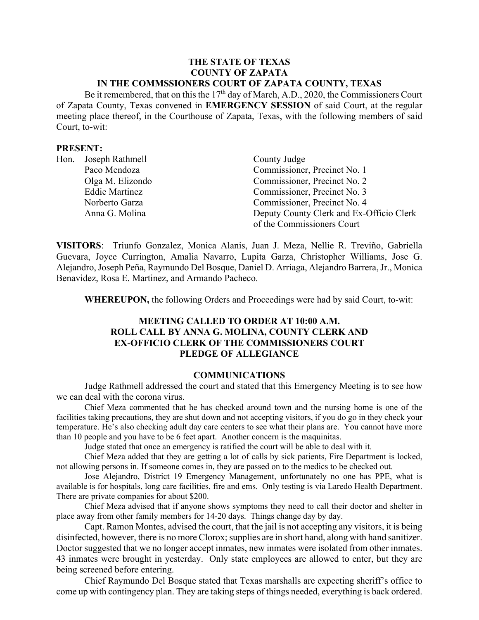#### **THE STATE OF TEXAS COUNTY OF ZAPATA IN THE COMMSSIONERS COURT OF ZAPATA COUNTY, TEXAS**

Be it remembered, that on this the  $17<sup>th</sup>$  day of March, A.D., 2020, the Commissioners Court of Zapata County, Texas convened in **EMERGENCY SESSION** of said Court, at the regular meeting place thereof, in the Courthouse of Zapata, Texas, with the following members of said Court, to-wit:

#### **PRESENT:**

| Hon. | Joseph Rathmell       | County Judge                             |
|------|-----------------------|------------------------------------------|
|      | Paco Mendoza          | Commissioner, Precinct No. 1             |
|      | Olga M. Elizondo      | Commissioner, Precinct No. 2             |
|      | <b>Eddie Martinez</b> | Commissioner, Precinct No. 3             |
|      | Norberto Garza        | Commissioner, Precinct No. 4             |
|      | Anna G. Molina        | Deputy County Clerk and Ex-Officio Clerk |
|      |                       | of the Commissioners Court               |

**VISITORS**: Triunfo Gonzalez, Monica Alanis, Juan J. Meza, Nellie R. Treviño, Gabriella Guevara, Joyce Currington, Amalia Navarro, Lupita Garza, Christopher Williams, Jose G. Alejandro, Joseph Peña, Raymundo Del Bosque, Daniel D. Arriaga, Alejandro Barrera, Jr., Monica Benavidez, Rosa E. Martinez, and Armando Pacheco.

**WHEREUPON,** the following Orders and Proceedings were had by said Court, to-wit:

### **MEETING CALLED TO ORDER AT 10:00 A.M. ROLL CALL BY ANNA G. MOLINA, COUNTY CLERK AND EX-OFFICIO CLERK OF THE COMMISSIONERS COURT PLEDGE OF ALLEGIANCE**

### **COMMUNICATIONS**

Judge Rathmell addressed the court and stated that this Emergency Meeting is to see how we can deal with the corona virus.

Chief Meza commented that he has checked around town and the nursing home is one of the facilities taking precautions, they are shut down and not accepting visitors, if you do go in they check your temperature. He's also checking adult day care centers to see what their plans are. You cannot have more than 10 people and you have to be 6 feet apart. Another concern is the maquinitas.

Judge stated that once an emergency is ratified the court will be able to deal with it.

Chief Meza added that they are getting a lot of calls by sick patients, Fire Department is locked, not allowing persons in. If someone comes in, they are passed on to the medics to be checked out.

Jose Alejandro, District 19 Emergency Management, unfortunately no one has PPE, what is available is for hospitals, long care facilities, fire and ems. Only testing is via Laredo Health Department. There are private companies for about \$200.

Chief Meza advised that if anyone shows symptoms they need to call their doctor and shelter in place away from other family members for 14-20 days. Things change day by day.

Capt. Ramon Montes, advised the court, that the jail is not accepting any visitors, it is being disinfected, however, there is no more Clorox; supplies are in short hand, along with hand sanitizer. Doctor suggested that we no longer accept inmates, new inmates were isolated from other inmates. 43 inmates were brought in yesterday. Only state employees are allowed to enter, but they are being screened before entering.

Chief Raymundo Del Bosque stated that Texas marshalls are expecting sheriff's office to come up with contingency plan. They are taking steps of things needed, everything is back ordered.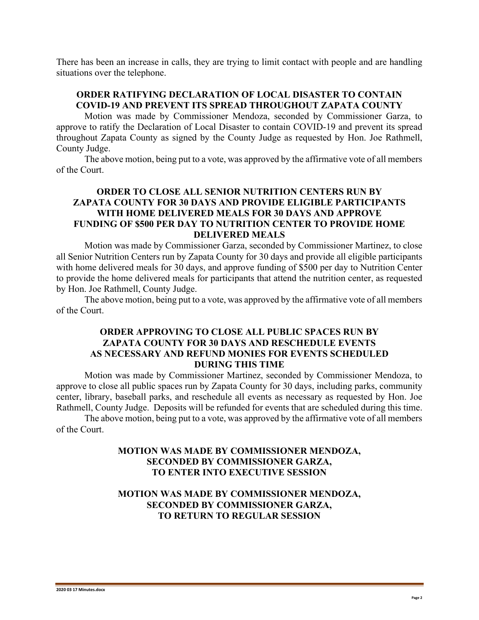There has been an increase in calls, they are trying to limit contact with people and are handling situations over the telephone.

## **ORDER RATIFYING DECLARATION OF LOCAL DISASTER TO CONTAIN COVID-19 AND PREVENT ITS SPREAD THROUGHOUT ZAPATA COUNTY**

Motion was made by Commissioner Mendoza, seconded by Commissioner Garza, to approve to ratify the Declaration of Local Disaster to contain COVID-19 and prevent its spread throughout Zapata County as signed by the County Judge as requested by Hon. Joe Rathmell, County Judge.

The above motion, being put to a vote, was approved by the affirmative vote of all members of the Court.

# **ORDER TO CLOSE ALL SENIOR NUTRITION CENTERS RUN BY ZAPATA COUNTY FOR 30 DAYS AND PROVIDE ELIGIBLE PARTICIPANTS WITH HOME DELIVERED MEALS FOR 30 DAYS AND APPROVE FUNDING OF \$500 PER DAY TO NUTRITION CENTER TO PROVIDE HOME DELIVERED MEALS**

Motion was made by Commissioner Garza, seconded by Commissioner Martinez, to close all Senior Nutrition Centers run by Zapata County for 30 days and provide all eligible participants with home delivered meals for 30 days, and approve funding of \$500 per day to Nutrition Center to provide the home delivered meals for participants that attend the nutrition center, as requested by Hon. Joe Rathmell, County Judge.

The above motion, being put to a vote, was approved by the affirmative vote of all members of the Court.

# **ORDER APPROVING TO CLOSE ALL PUBLIC SPACES RUN BY ZAPATA COUNTY FOR 30 DAYS AND RESCHEDULE EVENTS AS NECESSARY AND REFUND MONIES FOR EVENTS SCHEDULED DURING THIS TIME**

Motion was made by Commissioner Martinez, seconded by Commissioner Mendoza, to approve to close all public spaces run by Zapata County for 30 days, including parks, community center, library, baseball parks, and reschedule all events as necessary as requested by Hon. Joe Rathmell, County Judge. Deposits will be refunded for events that are scheduled during this time.

The above motion, being put to a vote, was approved by the affirmative vote of all members of the Court.

# **MOTION WAS MADE BY COMMISSIONER MENDOZA, SECONDED BY COMMISSIONER GARZA, TO ENTER INTO EXECUTIVE SESSION**

# **MOTION WAS MADE BY COMMISSIONER MENDOZA, SECONDED BY COMMISSIONER GARZA, TO RETURN TO REGULAR SESSION**